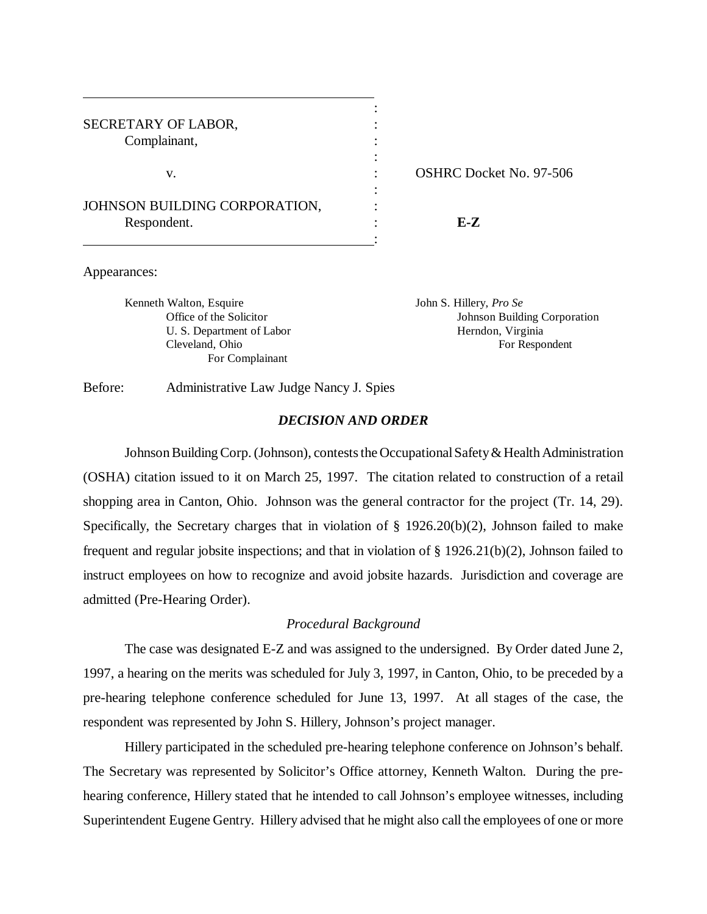| SECRETARY OF LABOR,           |                 |
|-------------------------------|-----------------|
| Complainant,                  |                 |
|                               |                 |
| v.                            | <b>OSHRC</b> Do |
|                               |                 |
| JOHNSON BUILDING CORPORATION, |                 |
| Respondent.                   | F.-Z            |
|                               |                 |

v. OSHRC Docket No. 97-506

#### Appearances:

Kenneth Walton, Esquire **In the Search Search Search Search Search Search Search Search Search Search Search Se** U. S. Department of Labor Herndon, Virginia For Complainant

Office of the Solicitor **Corporation** Johnson Building Corporation Cleveland, Ohio For Respondent

Before: Administrative Law Judge Nancy J. Spies

#### *DECISION AND ORDER*

Johnson Building Corp. (Johnson), contests the Occupational Safety & Health Administration (OSHA) citation issued to it on March 25, 1997. The citation related to construction of a retail shopping area in Canton, Ohio. Johnson was the general contractor for the project (Tr. 14, 29). Specifically, the Secretary charges that in violation of § 1926.20(b)(2), Johnson failed to make frequent and regular jobsite inspections; and that in violation of § 1926.21(b)(2), Johnson failed to instruct employees on how to recognize and avoid jobsite hazards. Jurisdiction and coverage are admitted (Pre-Hearing Order).

# *Procedural Background*

The case was designated E-Z and was assigned to the undersigned. By Order dated June 2, 1997, a hearing on the merits was scheduled for July 3, 1997, in Canton, Ohio, to be preceded by a pre-hearing telephone conference scheduled for June 13, 1997. At all stages of the case, the respondent was represented by John S. Hillery, Johnson's project manager.

Hillery participated in the scheduled pre-hearing telephone conference on Johnson's behalf. The Secretary was represented by Solicitor's Office attorney, Kenneth Walton. During the prehearing conference, Hillery stated that he intended to call Johnson's employee witnesses, including Superintendent Eugene Gentry. Hillery advised that he might also call the employees of one or more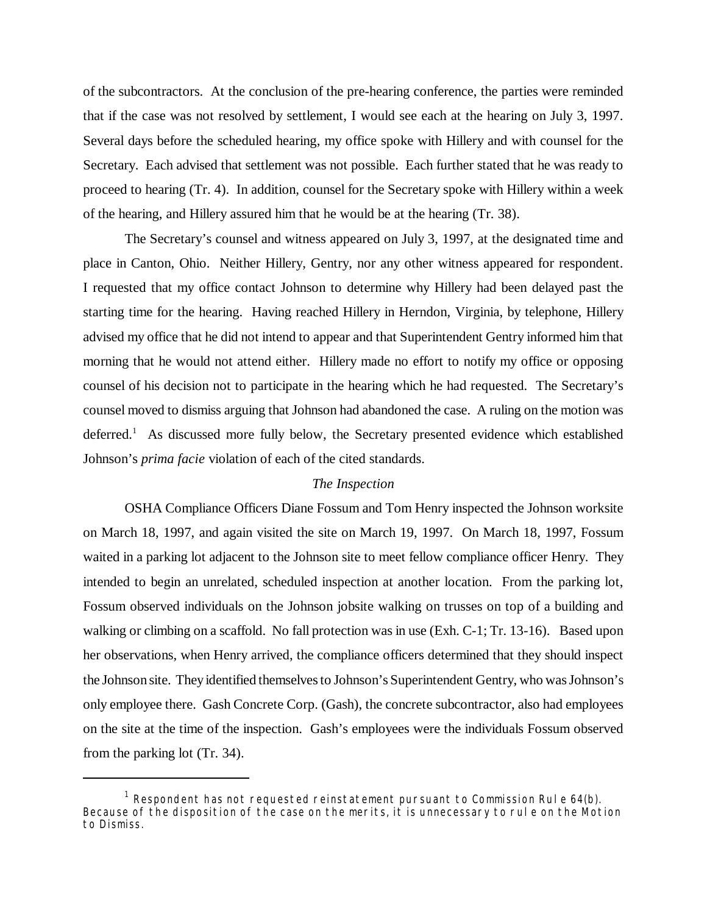of the subcontractors. At the conclusion of the pre-hearing conference, the parties were reminded that if the case was not resolved by settlement, I would see each at the hearing on July 3, 1997. Several days before the scheduled hearing, my office spoke with Hillery and with counsel for the Secretary. Each advised that settlement was not possible. Each further stated that he was ready to proceed to hearing (Tr. 4). In addition, counsel for the Secretary spoke with Hillery within a week of the hearing, and Hillery assured him that he would be at the hearing (Tr. 38).

The Secretary's counsel and witness appeared on July 3, 1997, at the designated time and place in Canton, Ohio. Neither Hillery, Gentry, nor any other witness appeared for respondent. I requested that my office contact Johnson to determine why Hillery had been delayed past the starting time for the hearing. Having reached Hillery in Herndon, Virginia, by telephone, Hillery advised my office that he did not intend to appear and that Superintendent Gentry informed him that morning that he would not attend either. Hillery made no effort to notify my office or opposing counsel of his decision not to participate in the hearing which he had requested. The Secretary's counsel moved to dismiss arguing that Johnson had abandoned the case. A ruling on the motion was deferred.<sup>1</sup> As discussed more fully below, the Secretary presented evidence which established Johnson's *prima facie* violation of each of the cited standards.

#### *The Inspection*

OSHA Compliance Officers Diane Fossum and Tom Henry inspected the Johnson worksite on March 18, 1997, and again visited the site on March 19, 1997. On March 18, 1997, Fossum waited in a parking lot adjacent to the Johnson site to meet fellow compliance officer Henry. They intended to begin an unrelated, scheduled inspection at another location. From the parking lot, Fossum observed individuals on the Johnson jobsite walking on trusses on top of a building and walking or climbing on a scaffold. No fall protection was in use (Exh. C-1; Tr. 13-16). Based upon her observations, when Henry arrived, the compliance officers determined that they should inspect the Johnson site. They identified themselves to Johnson's Superintendent Gentry, who was Johnson's only employee there. Gash Concrete Corp. (Gash), the concrete subcontractor, also had employees on the site at the time of the inspection. Gash's employees were the individuals Fossum observed from the parking lot (Tr. 34).

 $^1$  Respondent has not requested reinstatement pursuant to Commission Rule 64(b). Because of the disposition of the case on the merits, it is unnecessary to rule on the Motion to Dismiss.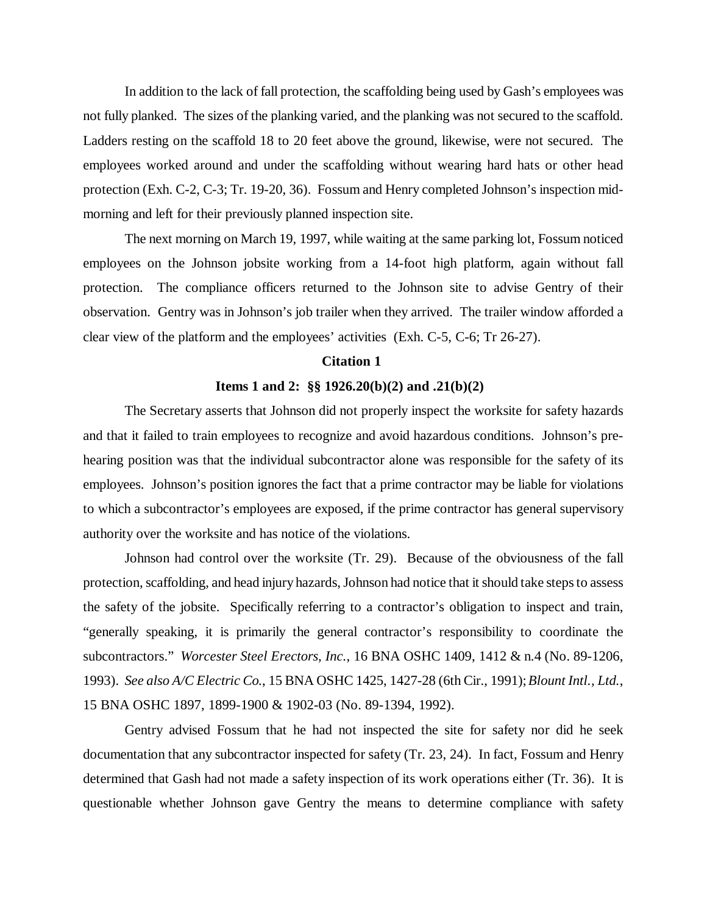In addition to the lack of fall protection, the scaffolding being used by Gash's employees was not fully planked. The sizes of the planking varied, and the planking was not secured to the scaffold. Ladders resting on the scaffold 18 to 20 feet above the ground, likewise, were not secured. The employees worked around and under the scaffolding without wearing hard hats or other head protection (Exh. C-2, C-3; Tr. 19-20, 36). Fossum and Henry completed Johnson's inspection midmorning and left for their previously planned inspection site.

The next morning on March 19, 1997, while waiting at the same parking lot, Fossum noticed employees on the Johnson jobsite working from a 14-foot high platform, again without fall protection. The compliance officers returned to the Johnson site to advise Gentry of their observation. Gentry was in Johnson's job trailer when they arrived. The trailer window afforded a clear view of the platform and the employees' activities (Exh. C-5, C-6; Tr 26-27).

## **Citation 1**

## **Items 1 and 2: §§ 1926.20(b)(2) and .21(b)(2)**

The Secretary asserts that Johnson did not properly inspect the worksite for safety hazards and that it failed to train employees to recognize and avoid hazardous conditions. Johnson's prehearing position was that the individual subcontractor alone was responsible for the safety of its employees. Johnson's position ignores the fact that a prime contractor may be liable for violations to which a subcontractor's employees are exposed, if the prime contractor has general supervisory authority over the worksite and has notice of the violations.

Johnson had control over the worksite (Tr. 29). Because of the obviousness of the fall protection, scaffolding, and head injury hazards, Johnson had notice that it should take steps to assess the safety of the jobsite. Specifically referring to a contractor's obligation to inspect and train, "generally speaking, it is primarily the general contractor's responsibility to coordinate the subcontractors." *Worcester Steel Erectors, Inc.*, 16 BNA OSHC 1409, 1412 & n.4 (No. 89-1206, 1993). *See also A/C Electric Co.*, 15 BNA OSHC 1425, 1427-28 (6th Cir., 1991); *Blount Intl., Ltd.*, 15 BNA OSHC 1897, 1899-1900 & 1902-03 (No. 89-1394, 1992).

Gentry advised Fossum that he had not inspected the site for safety nor did he seek documentation that any subcontractor inspected for safety (Tr. 23, 24). In fact, Fossum and Henry determined that Gash had not made a safety inspection of its work operations either (Tr. 36). It is questionable whether Johnson gave Gentry the means to determine compliance with safety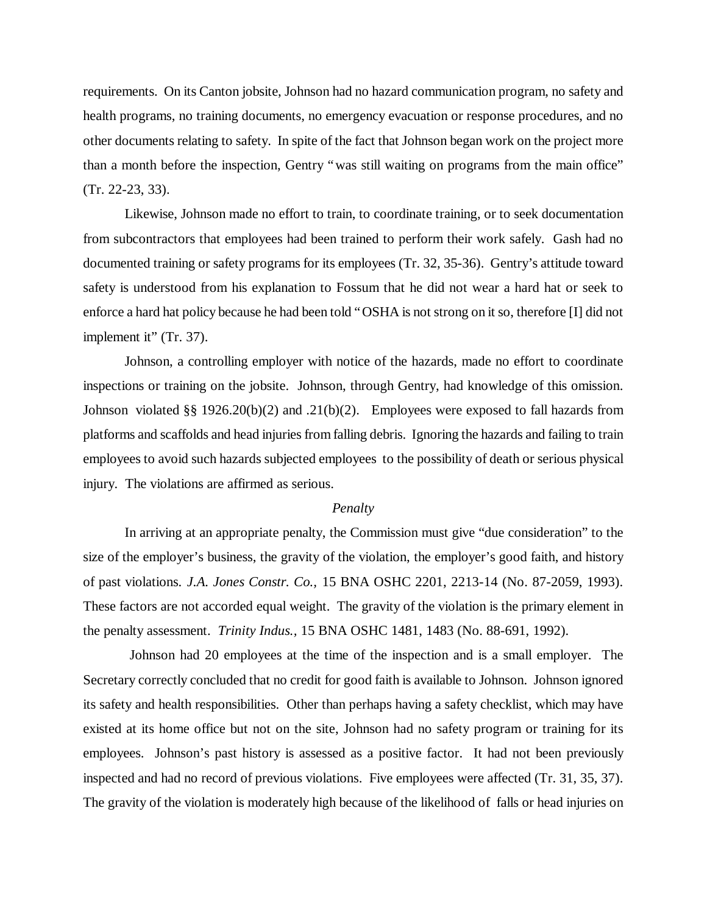requirements. On its Canton jobsite, Johnson had no hazard communication program, no safety and health programs, no training documents, no emergency evacuation or response procedures, and no other documents relating to safety. In spite of the fact that Johnson began work on the project more than a month before the inspection, Gentry "was still waiting on programs from the main office" (Tr. 22-23, 33).

Likewise, Johnson made no effort to train, to coordinate training, or to seek documentation from subcontractors that employees had been trained to perform their work safely. Gash had no documented training or safety programs for its employees (Tr. 32, 35-36). Gentry's attitude toward safety is understood from his explanation to Fossum that he did not wear a hard hat or seek to enforce a hard hat policy because he had been told "OSHA is not strong on it so, therefore [I] did not implement it" (Tr. 37).

Johnson, a controlling employer with notice of the hazards, made no effort to coordinate inspections or training on the jobsite. Johnson, through Gentry, had knowledge of this omission. Johnson violated §§ 1926.20(b)(2) and .21(b)(2). Employees were exposed to fall hazards from platforms and scaffolds and head injuries from falling debris. Ignoring the hazards and failing to train employees to avoid such hazards subjected employees to the possibility of death or serious physical injury. The violations are affirmed as serious.

#### *Penalty*

In arriving at an appropriate penalty, the Commission must give "due consideration" to the size of the employer's business, the gravity of the violation, the employer's good faith, and history of past violations. *J.A. Jones Constr. Co.,* 15 BNA OSHC 2201, 2213-14 (No. 87-2059, 1993). These factors are not accorded equal weight. The gravity of the violation is the primary element in the penalty assessment. *Trinity Indus.,* 15 BNA OSHC 1481, 1483 (No. 88-691, 1992).

 Johnson had 20 employees at the time of the inspection and is a small employer. The Secretary correctly concluded that no credit for good faith is available to Johnson. Johnson ignored its safety and health responsibilities. Other than perhaps having a safety checklist, which may have existed at its home office but not on the site, Johnson had no safety program or training for its employees. Johnson's past history is assessed as a positive factor. It had not been previously inspected and had no record of previous violations. Five employees were affected (Tr. 31, 35, 37). The gravity of the violation is moderately high because of the likelihood of falls or head injuries on